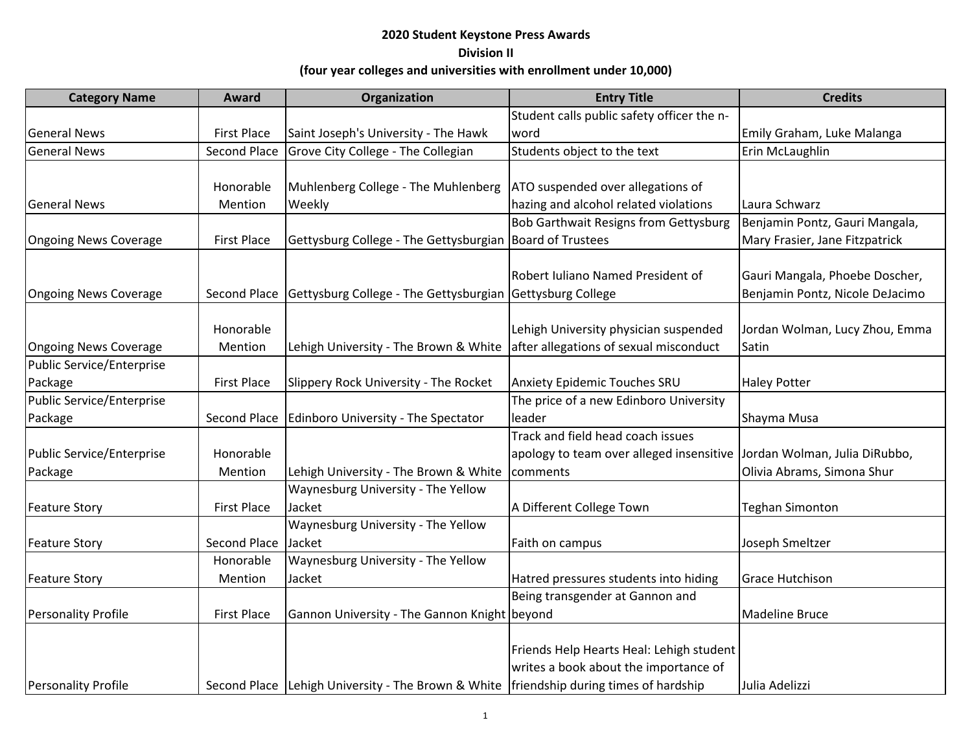| <b>Category Name</b>       | Award               | Organization                                                                             | <b>Entry Title</b>                           | <b>Credits</b>                  |
|----------------------------|---------------------|------------------------------------------------------------------------------------------|----------------------------------------------|---------------------------------|
|                            |                     |                                                                                          | Student calls public safety officer the n-   |                                 |
| <b>General News</b>        | <b>First Place</b>  | Saint Joseph's University - The Hawk                                                     | word                                         | Emily Graham, Luke Malanga      |
| <b>General News</b>        | <b>Second Place</b> | Grove City College - The Collegian                                                       | Students object to the text                  | Erin McLaughlin                 |
|                            |                     |                                                                                          |                                              |                                 |
|                            | Honorable           | Muhlenberg College - The Muhlenberg                                                      | ATO suspended over allegations of            |                                 |
| <b>General News</b>        | Mention             | Weekly                                                                                   | hazing and alcohol related violations        | Laura Schwarz                   |
|                            |                     |                                                                                          | <b>Bob Garthwait Resigns from Gettysburg</b> | Benjamin Pontz, Gauri Mangala,  |
| Ongoing News Coverage      | <b>First Place</b>  | Gettysburg College - The Gettysburgian   Board of Trustees                               |                                              | Mary Frasier, Jane Fitzpatrick  |
|                            |                     |                                                                                          |                                              |                                 |
|                            |                     |                                                                                          | Robert Iuliano Named President of            | Gauri Mangala, Phoebe Doscher,  |
| Ongoing News Coverage      | Second Place        | Gettysburg College - The Gettysburgian Gettysburg College                                |                                              | Benjamin Pontz, Nicole DeJacimo |
|                            | Honorable           |                                                                                          | Lehigh University physician suspended        | Jordan Wolman, Lucy Zhou, Emma  |
| Ongoing News Coverage      | Mention             | Lehigh University - The Brown & White                                                    | after allegations of sexual misconduct       | Satin                           |
| Public Service/Enterprise  |                     |                                                                                          |                                              |                                 |
| Package                    | <b>First Place</b>  | Slippery Rock University - The Rocket                                                    | Anxiety Epidemic Touches SRU                 | <b>Haley Potter</b>             |
| Public Service/Enterprise  |                     |                                                                                          | The price of a new Edinboro University       |                                 |
| Package                    | Second Place        | Edinboro University - The Spectator                                                      | leader                                       | Shayma Musa                     |
|                            |                     |                                                                                          | Track and field head coach issues            |                                 |
| Public Service/Enterprise  | Honorable           |                                                                                          | apology to team over alleged insensitive     | Jordan Wolman, Julia DiRubbo,   |
| Package                    | Mention             | Lehigh University - The Brown & White                                                    | comments                                     | Olivia Abrams, Simona Shur      |
|                            |                     | Waynesburg University - The Yellow                                                       |                                              |                                 |
| <b>Feature Story</b>       | <b>First Place</b>  | Jacket                                                                                   | A Different College Town                     | <b>Teghan Simonton</b>          |
|                            |                     | Waynesburg University - The Yellow                                                       |                                              |                                 |
| <b>Feature Story</b>       | Second Place        | Jacket                                                                                   | Faith on campus                              | Joseph Smeltzer                 |
|                            | Honorable           | Waynesburg University - The Yellow                                                       |                                              |                                 |
| <b>Feature Story</b>       | Mention             | Jacket                                                                                   | Hatred pressures students into hiding        | <b>Grace Hutchison</b>          |
|                            |                     |                                                                                          | Being transgender at Gannon and              |                                 |
| <b>Personality Profile</b> | <b>First Place</b>  | Gannon University - The Gannon Knight beyond                                             |                                              | <b>Madeline Bruce</b>           |
|                            |                     |                                                                                          |                                              |                                 |
|                            |                     |                                                                                          | Friends Help Hearts Heal: Lehigh student     |                                 |
|                            |                     |                                                                                          | writes a book about the importance of        |                                 |
| <b>Personality Profile</b> |                     | Second Place Lehigh University - The Brown & White   friendship during times of hardship |                                              | Julia Adelizzi                  |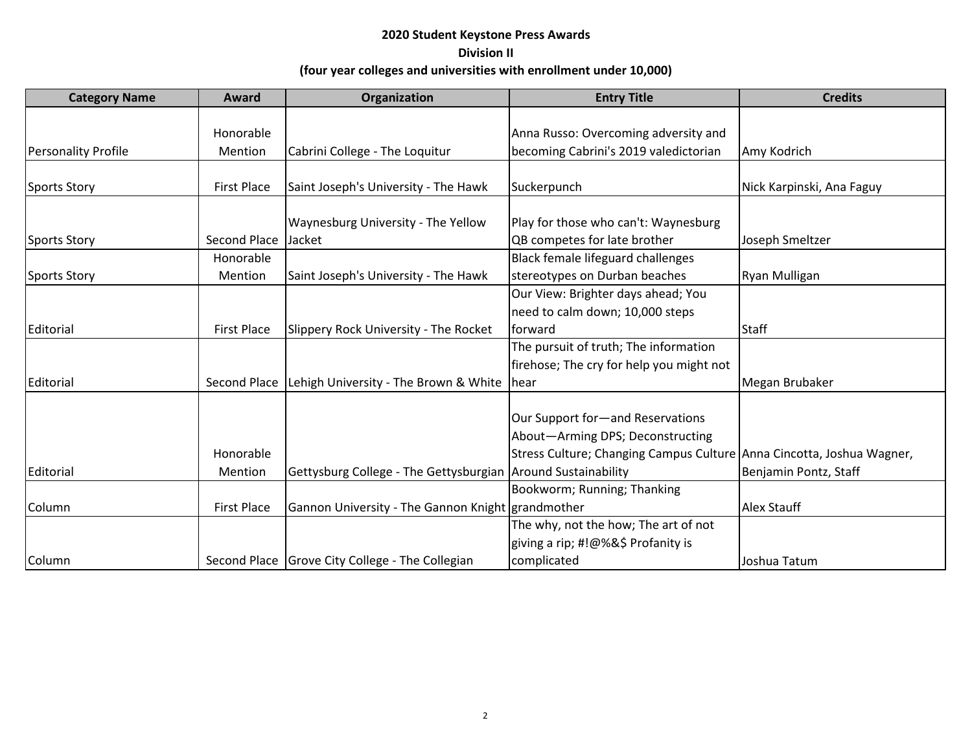| <b>Category Name</b>       | Award              | Organization                                                 | <b>Entry Title</b>                                                    | <b>Credits</b>            |
|----------------------------|--------------------|--------------------------------------------------------------|-----------------------------------------------------------------------|---------------------------|
|                            |                    |                                                              |                                                                       |                           |
|                            | Honorable          |                                                              | Anna Russo: Overcoming adversity and                                  |                           |
| <b>Personality Profile</b> | Mention            | Cabrini College - The Loquitur                               | becoming Cabrini's 2019 valedictorian                                 | Amy Kodrich               |
|                            |                    |                                                              |                                                                       |                           |
| <b>Sports Story</b>        | <b>First Place</b> | Saint Joseph's University - The Hawk                         | Suckerpunch                                                           | Nick Karpinski, Ana Faguy |
|                            |                    |                                                              |                                                                       |                           |
|                            |                    | Waynesburg University - The Yellow                           | Play for those who can't: Waynesburg                                  |                           |
| <b>Sports Story</b>        | Second Place       | Jacket                                                       | QB competes for late brother                                          | Joseph Smeltzer           |
|                            | Honorable          |                                                              | Black female lifeguard challenges                                     |                           |
| Sports Story               | Mention            | Saint Joseph's University - The Hawk                         | stereotypes on Durban beaches                                         | Ryan Mulligan             |
|                            |                    |                                                              | Our View: Brighter days ahead; You                                    |                           |
|                            |                    |                                                              | need to calm down; 10,000 steps                                       |                           |
| Editorial                  | <b>First Place</b> | Slippery Rock University - The Rocket                        | forward                                                               | <b>Staff</b>              |
|                            |                    |                                                              | The pursuit of truth; The information                                 |                           |
|                            |                    |                                                              | firehose; The cry for help you might not                              |                           |
| Editorial                  | Second Place       | Lehigh University - The Brown & White                        | <b>Thear</b>                                                          | Megan Brubaker            |
|                            |                    |                                                              |                                                                       |                           |
|                            |                    |                                                              | Our Support for-and Reservations                                      |                           |
|                            |                    |                                                              | About-Arming DPS; Deconstructing                                      |                           |
|                            | Honorable          |                                                              | Stress Culture; Changing Campus Culture Anna Cincotta, Joshua Wagner, |                           |
| Editorial                  | Mention            | Gettysburg College - The Gettysburgian Around Sustainability |                                                                       | Benjamin Pontz, Staff     |
|                            |                    |                                                              | Bookworm; Running; Thanking                                           |                           |
| Column                     | <b>First Place</b> | Gannon University - The Gannon Knight grandmother            |                                                                       | <b>Alex Stauff</b>        |
|                            |                    |                                                              | The why, not the how; The art of not                                  |                           |
|                            |                    |                                                              | giving a rip; #!@%&\$ Profanity is                                    |                           |
| Column                     |                    | Second Place Grove City College - The Collegian              | complicated                                                           | Joshua Tatum              |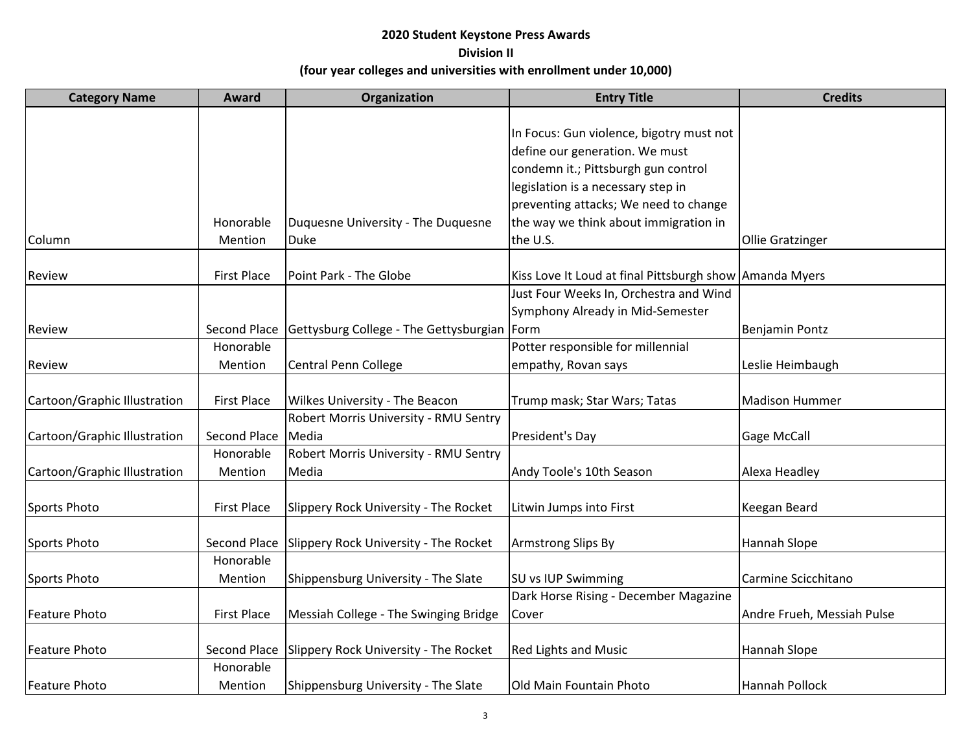| <b>Category Name</b>         | Award              | Organization                                  | <b>Entry Title</b>                                      | <b>Credits</b>             |
|------------------------------|--------------------|-----------------------------------------------|---------------------------------------------------------|----------------------------|
|                              |                    |                                               |                                                         |                            |
|                              |                    |                                               | In Focus: Gun violence, bigotry must not                |                            |
|                              |                    |                                               | define our generation. We must                          |                            |
|                              |                    |                                               | condemn it.; Pittsburgh gun control                     |                            |
|                              |                    |                                               | legislation is a necessary step in                      |                            |
|                              |                    |                                               | preventing attacks; We need to change                   |                            |
|                              | Honorable          | Duquesne University - The Duquesne            | the way we think about immigration in                   |                            |
| Column                       | Mention            | Duke                                          | the U.S.                                                | <b>Ollie Gratzinger</b>    |
|                              |                    |                                               |                                                         |                            |
| Review                       | <b>First Place</b> | Point Park - The Globe                        | Kiss Love It Loud at final Pittsburgh show Amanda Myers |                            |
|                              |                    |                                               | Just Four Weeks In, Orchestra and Wind                  |                            |
|                              |                    |                                               | Symphony Already in Mid-Semester                        |                            |
| Review                       | Second Place       | Gettysburg College - The Gettysburgian   Form |                                                         | <b>Benjamin Pontz</b>      |
|                              | Honorable          |                                               | Potter responsible for millennial                       |                            |
| Review                       | Mention            | <b>Central Penn College</b>                   | empathy, Rovan says                                     | Leslie Heimbaugh           |
|                              |                    |                                               |                                                         |                            |
| Cartoon/Graphic Illustration | <b>First Place</b> | Wilkes University - The Beacon                | Trump mask; Star Wars; Tatas                            | <b>Madison Hummer</b>      |
|                              |                    | Robert Morris University - RMU Sentry         |                                                         |                            |
| Cartoon/Graphic Illustration | Second Place       | Media                                         | President's Day                                         | <b>Gage McCall</b>         |
|                              | Honorable          | Robert Morris University - RMU Sentry         |                                                         |                            |
| Cartoon/Graphic Illustration | Mention            | Media                                         | Andy Toole's 10th Season                                | Alexa Headley              |
|                              |                    |                                               |                                                         |                            |
| Sports Photo                 | <b>First Place</b> | Slippery Rock University - The Rocket         | Litwin Jumps into First                                 | Keegan Beard               |
| Sports Photo                 | Second Place       | Slippery Rock University - The Rocket         | <b>Armstrong Slips By</b>                               | Hannah Slope               |
|                              | Honorable          |                                               |                                                         |                            |
| Sports Photo                 | Mention            | Shippensburg University - The Slate           | SU vs IUP Swimming                                      | Carmine Scicchitano        |
|                              |                    |                                               | Dark Horse Rising - December Magazine                   |                            |
| <b>Feature Photo</b>         | <b>First Place</b> | Messiah College - The Swinging Bridge         | Cover                                                   | Andre Frueh, Messiah Pulse |
|                              |                    |                                               |                                                         |                            |
| <b>Feature Photo</b>         | Second Place       | Slippery Rock University - The Rocket         | <b>Red Lights and Music</b>                             | Hannah Slope               |
|                              | Honorable          |                                               |                                                         |                            |
| Feature Photo                | Mention            | Shippensburg University - The Slate           | Old Main Fountain Photo                                 | Hannah Pollock             |